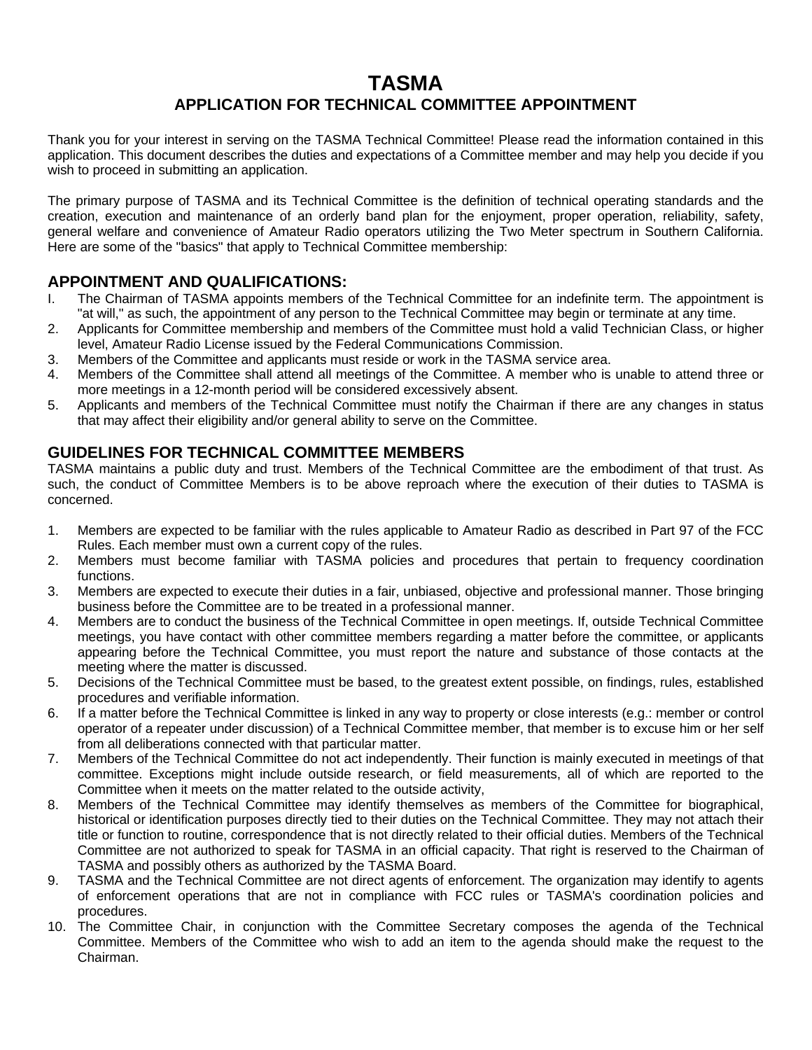# **TASMA**

## **APPLICATION FOR TECHNICAL COMMITTEE APPOINTMENT**

Thank you for your interest in serving on the TASMA Technical Committee! Please read the information contained in this application. This document describes the duties and expectations of a Committee member and may help you decide if you wish to proceed in submitting an application.

The primary purpose of TASMA and its Technical Committee is the definition of technical operating standards and the creation, execution and maintenance of an orderly band plan for the enjoyment, proper operation, reliability, safety, general welfare and convenience of Amateur Radio operators utilizing the Two Meter spectrum in Southern California. Here are some of the "basics" that apply to Technical Committee membership:

## **APPOINTMENT AND QUALIFICATIONS:**

- I. The Chairman of TASMA appoints members of the Technical Committee for an indefinite term. The appointment is "at will," as such, the appointment of any person to the Technical Committee may begin or terminate at any time.
- 2. Applicants for Committee membership and members of the Committee must hold a valid Technician Class, or higher level, Amateur Radio License issued by the Federal Communications Commission.
- 3. Members of the Committee and applicants must reside or work in the TASMA service area.
- 4. Members of the Committee shall attend all meetings of the Committee. A member who is unable to attend three or more meetings in a 12-month period will be considered excessively absent.
- 5. Applicants and members of the Technical Committee must notify the Chairman if there are any changes in status that may affect their eligibility and/or general ability to serve on the Committee.

### **GUIDELINES FOR TECHNICAL COMMITTEE MEMBERS**

TASMA maintains a public duty and trust. Members of the Technical Committee are the embodiment of that trust. As such, the conduct of Committee Members is to be above reproach where the execution of their duties to TASMA is concerned.

- 1. Members are expected to be familiar with the rules applicable to Amateur Radio as described in Part 97 of the FCC Rules. Each member must own a current copy of the rules.
- 2. Members must become familiar with TASMA policies and procedures that pertain to frequency coordination functions.
- 3. Members are expected to execute their duties in a fair, unbiased, objective and professional manner. Those bringing business before the Committee are to be treated in a professional manner.
- 4. Members are to conduct the business of the Technical Committee in open meetings. If, outside Technical Committee meetings, you have contact with other committee members regarding a matter before the committee, or applicants appearing before the Technical Committee, you must report the nature and substance of those contacts at the meeting where the matter is discussed.
- 5. Decisions of the Technical Committee must be based, to the greatest extent possible, on findings, rules, established procedures and verifiable information.
- 6. If a matter before the Technical Committee is linked in any way to property or close interests (e.g.: member or control operator of a repeater under discussion) of a Technical Committee member, that member is to excuse him or her self from all deliberations connected with that particular matter.
- 7. Members of the Technical Committee do not act independently. Their function is mainly executed in meetings of that committee. Exceptions might include outside research, or field measurements, all of which are reported to the Committee when it meets on the matter related to the outside activity,
- 8. Members of the Technical Committee may identify themselves as members of the Committee for biographical, historical or identification purposes directly tied to their duties on the Technical Committee. They may not attach their title or function to routine, correspondence that is not directly related to their official duties. Members of the Technical Committee are not authorized to speak for TASMA in an official capacity. That right is reserved to the Chairman of TASMA and possibly others as authorized by the TASMA Board.
- 9. TASMA and the Technical Committee are not direct agents of enforcement. The organization may identify to agents of enforcement operations that are not in compliance with FCC rules or TASMA's coordination policies and procedures.
- 10. The Committee Chair, in conjunction with the Committee Secretary composes the agenda of the Technical Committee. Members of the Committee who wish to add an item to the agenda should make the request to the Chairman.